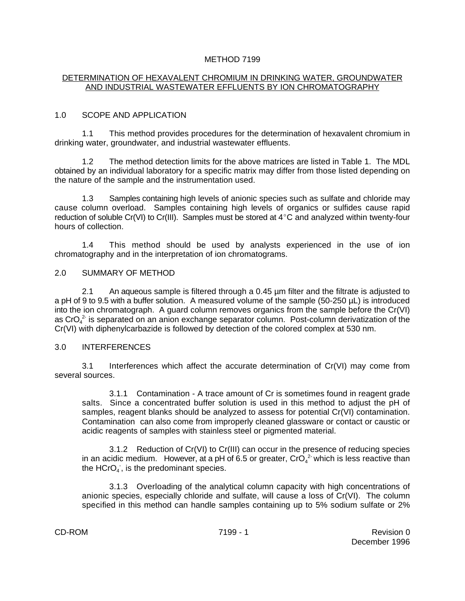#### METHOD 7199

#### DETERMINATION OF HEXAVALENT CHROMIUM IN DRINKING WATER, GROUNDWATER AND INDUSTRIAL WASTEWATER EFFLUENTS BY ION CHROMATOGRAPHY

#### 1.0 SCOPE AND APPLICATION

1.1 This method provides procedures for the determination of hexavalent chromium in drinking water, groundwater, and industrial wastewater effluents.

1.2 The method detection limits for the above matrices are listed in Table 1. The MDL obtained by an individual laboratory for a specific matrix may differ from those listed depending on the nature of the sample and the instrumentation used.

1.3 Samples containing high levels of anionic species such as sulfate and chloride may cause column overload. Samples containing high levels of organics or sulfides cause rapid reduction of soluble Cr(VI) to Cr(III). Samples must be stored at  $4^{\circ}$ C and analyzed within twenty-four hours of collection.

1.4 This method should be used by analysts experienced in the use of ion chromatography and in the interpretation of ion chromatograms.

#### 2.0 SUMMARY OF METHOD

2.1 An aqueous sample is filtered through a 0.45 µm filter and the filtrate is adjusted to a pH of 9 to 9.5 with a buffer solution. A measured volume of the sample (50-250 µL) is introduced into the ion chromatograph. A guard column removes organics from the sample before the Cr(VI) as CrO $_4^2$  is separated on an anion exchange separator column. Post-column derivatization of the Cr(VI) with diphenylcarbazide is followed by detection of the colored complex at 530 nm.

#### 3.0 INTERFERENCES

3.1 Interferences which affect the accurate determination of Cr(VI) may come from several sources.

3.1.1 Contamination - A trace amount of Cr is sometimes found in reagent grade salts. Since a concentrated buffer solution is used in this method to adjust the pH of samples, reagent blanks should be analyzed to assess for potential Cr(VI) contamination. Contamination can also come from improperly cleaned glassware or contact or caustic or acidic reagents of samples with stainless steel or pigmented material.

3.1.2 Reduction of Cr(VI) to Cr(III) can occur in the presence of reducing species in an acidic medium. However, at a pH of 6.5 or greater,  $CrO<sub>4</sub><sup>2</sup>$  which is less reactive than the  $HCrO<sub>4</sub>$ , is the predominant species.

3.1.3 Overloading of the analytical column capacity with high concentrations of anionic species, especially chloride and sulfate, will cause a loss of Cr(VI). The column specified in this method can handle samples containing up to 5% sodium sulfate or 2%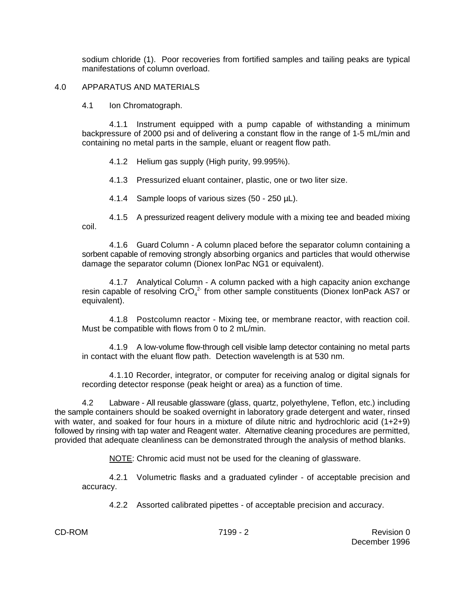sodium chloride (1). Poor recoveries from fortified samples and tailing peaks are typical manifestations of column overload.

#### 4.0 APPARATUS AND MATERIALS

4.1 Ion Chromatograph.

4.1.1 Instrument equipped with a pump capable of withstanding a minimum backpressure of 2000 psi and of delivering a constant flow in the range of 1-5 mL/min and containing no metal parts in the sample, eluant or reagent flow path.

4.1.2 Helium gas supply (High purity, 99.995%).

4.1.3 Pressurized eluant container, plastic, one or two liter size.

4.1.4 Sample loops of various sizes (50 - 250 µL).

4.1.5 A pressurized reagent delivery module with a mixing tee and beaded mixing coil.

4.1.6 Guard Column - A column placed before the separator column containing a sorbent capable of removing strongly absorbing organics and particles that would otherwise damage the separator column (Dionex IonPac NG1 or equivalent).

4.1.7 Analytical Column - A column packed with a high capacity anion exchange resin capable of resolving  $\text{CrO}_4^2$  from other sample constituents (Dionex IonPack AS7 or equivalent).

4.1.8 Postcolumn reactor - Mixing tee, or membrane reactor, with reaction coil. Must be compatible with flows from 0 to 2 mL/min.

4.1.9 A low-volume flow-through cell visible lamp detector containing no metal parts in contact with the eluant flow path. Detection wavelength is at 530 nm.

4.1.10 Recorder, integrator, or computer for receiving analog or digital signals for recording detector response (peak height or area) as a function of time.

4.2 Labware - All reusable glassware (glass, quartz, polyethylene, Teflon, etc.) including the sample containers should be soaked overnight in laboratory grade detergent and water, rinsed with water, and soaked for four hours in a mixture of dilute nitric and hydrochloric acid (1+2+9) followed by rinsing with tap water and Reagent water. Alternative cleaning procedures are permitted, provided that adequate cleanliness can be demonstrated through the analysis of method blanks.

NOTE: Chromic acid must not be used for the cleaning of glassware.

4.2.1 Volumetric flasks and a graduated cylinder - of acceptable precision and accuracy.

4.2.2 Assorted calibrated pipettes - of acceptable precision and accuracy.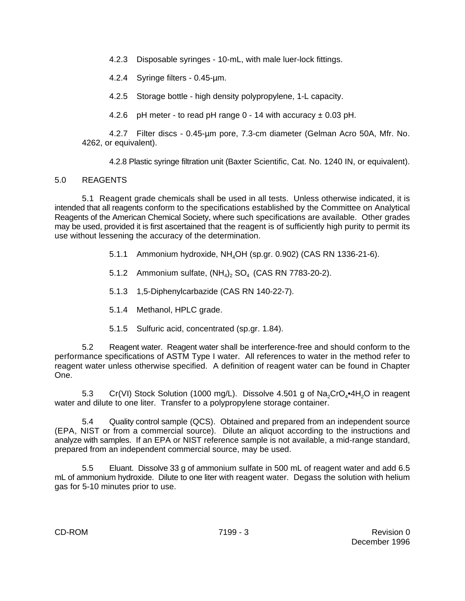4.2.3 Disposable syringes - 10-mL, with male luer-lock fittings.

4.2.4 Syringe filters - 0.45-µm.

4.2.5 Storage bottle - high density polypropylene, 1-L capacity.

4.2.6 pH meter - to read pH range  $0 - 14$  with accuracy  $\pm 0.03$  pH.

4.2.7 Filter discs - 0.45-µm pore, 7.3-cm diameter (Gelman Acro 50A, Mfr. No. 4262, or equivalent).

4.2.8 Plastic syringe filtration unit (Baxter Scientific, Cat. No. 1240 IN, or equivalent).

# 5.0 REAGENTS

5.1 Reagent grade chemicals shall be used in all tests. Unless otherwise indicated, it is intended that all reagents conform to the specifications established by the Committee on Analytical Reagents of the American Chemical Society, where such specifications are available. Other grades may be used, provided it is first ascertained that the reagent is of sufficiently high purity to permit its use without lessening the accuracy of the determination.

- 5.1.1 Ammonium hydroxide, NH<sub>4</sub>OH (sp.gr. 0.902) (CAS RN 1336-21-6).
- 5.1.2 Ammonium sulfate,  $(NH_4)$ ,  $SO_4$  (CAS RN 7783-20-2).
- 5.1.3 1,5-Diphenylcarbazide (CAS RN 140-22-7).
- 5.1.4 Methanol, HPLC grade.
- 5.1.5 Sulfuric acid, concentrated (sp.gr. 1.84).

5.2 Reagent water. Reagent water shall be interference-free and should conform to the performance specifications of ASTM Type I water. All references to water in the method refer to reagent water unless otherwise specified. A definition of reagent water can be found in Chapter One.

5.3 Cr(VI) Stock Solution (1000 mg/L). Dissolve 4.501 g of  $Na_{2}CrO_{4} \cdot 4H_{2}O$  in reagent water and dilute to one liter. Transfer to a polypropylene storage container.

5.4 Quality control sample (QCS). Obtained and prepared from an independent source (EPA, NIST or from a commercial source). Dilute an aliquot according to the instructions and analyze with samples. If an EPA or NIST reference sample is not available, a mid-range standard, prepared from an independent commercial source, may be used.

5.5 Eluant. Dissolve 33 g of ammonium sulfate in 500 mL of reagent water and add 6.5 mL of ammonium hydroxide. Dilute to one liter with reagent water. Degass the solution with helium gas for 5-10 minutes prior to use.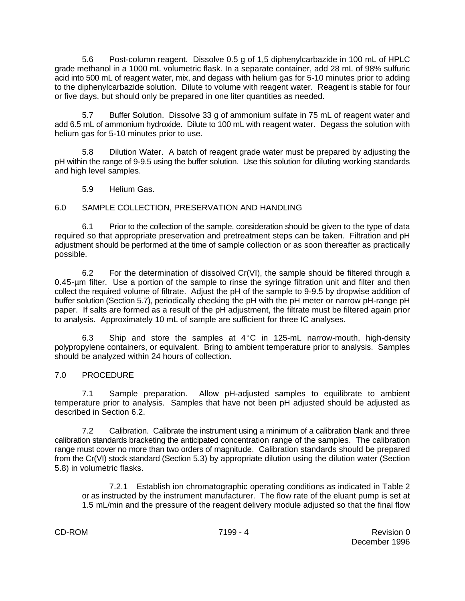5.6 Post-column reagent. Dissolve 0.5 g of 1,5 diphenylcarbazide in 100 mL of HPLC grade methanol in a 1000 mL volumetric flask. In a separate container, add 28 mL of 98% sulfuric acid into 500 mL of reagent water, mix, and degass with helium gas for 5-10 minutes prior to adding to the diphenylcarbazide solution. Dilute to volume with reagent water. Reagent is stable for four or five days, but should only be prepared in one liter quantities as needed.

5.7 Buffer Solution. Dissolve 33 g of ammonium sulfate in 75 mL of reagent water and add 6.5 mL of ammonium hydroxide. Dilute to 100 mL with reagent water. Degass the solution with helium gas for 5-10 minutes prior to use.

5.8 Dilution Water. A batch of reagent grade water must be prepared by adjusting the pH within the range of 9-9.5 using the buffer solution. Use this solution for diluting working standards and high level samples.

5.9 Helium Gas.

# 6.0 SAMPLE COLLECTION, PRESERVATION AND HANDLING

6.1 Prior to the collection of the sample, consideration should be given to the type of data required so that appropriate preservation and pretreatment steps can be taken. Filtration and pH adjustment should be performed at the time of sample collection or as soon thereafter as practically possible.

6.2 For the determination of dissolved  $Cr(V)$ , the sample should be filtered through a 0.45-µm filter. Use a portion of the sample to rinse the syringe filtration unit and filter and then collect the required volume of filtrate. Adjust the pH of the sample to 9-9.5 by dropwise addition of buffer solution (Section 5.7), periodically checking the pH with the pH meter or narrow pH-range pH paper. If salts are formed as a result of the pH adjustment, the filtrate must be filtered again prior to analysis. Approximately 10 mL of sample are sufficient for three IC analyses.

6.3 Ship and store the samples at  $4^{\circ}$ C in 125-mL narrow-mouth, high-density polypropylene containers, or equivalent. Bring to ambient temperature prior to analysis. Samples should be analyzed within 24 hours of collection.

# 7.0 PROCEDURE

7.1 Sample preparation. Allow pH-adjusted samples to equilibrate to ambient temperature prior to analysis. Samples that have not been pH adjusted should be adjusted as described in Section 6.2.

7.2 Calibration. Calibrate the instrument using a minimum of a calibration blank and three calibration standards bracketing the anticipated concentration range of the samples. The calibration range must cover no more than two orders of magnitude. Calibration standards should be prepared from the Cr(VI) stock standard (Section 5.3) by appropriate dilution using the dilution water (Section 5.8) in volumetric flasks.

7.2.1 Establish ion chromatographic operating conditions as indicated in Table 2 or as instructed by the instrument manufacturer. The flow rate of the eluant pump is set at 1.5 mL/min and the pressure of the reagent delivery module adjusted so that the final flow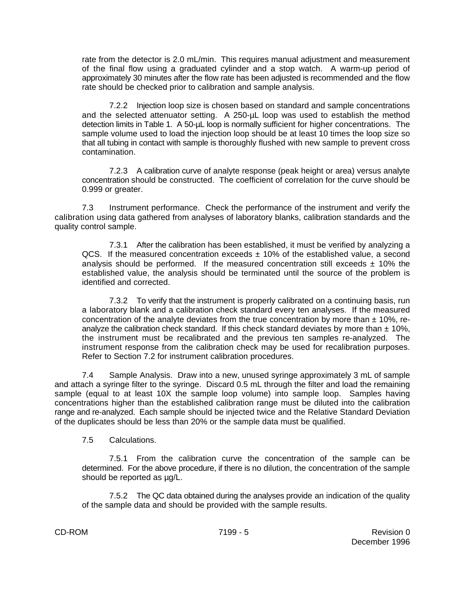rate from the detector is 2.0 mL/min. This requires manual adjustment and measurement of the final flow using a graduated cylinder and a stop watch. A warm-up period of approximately 30 minutes after the flow rate has been adjusted is recommended and the flow rate should be checked prior to calibration and sample analysis.

7.2.2 Injection loop size is chosen based on standard and sample concentrations and the selected attenuator setting. A 250-µL loop was used to establish the method detection limits in Table 1. A 50-µL loop is normally sufficient for higher concentrations. The sample volume used to load the injection loop should be at least 10 times the loop size so that all tubing in contact with sample is thoroughly flushed with new sample to prevent cross contamination.

7.2.3 A calibration curve of analyte response (peak height or area) versus analyte concentration should be constructed. The coefficient of correlation for the curve should be 0.999 or greater.

7.3 Instrument performance. Check the performance of the instrument and verify the calibration using data gathered from analyses of laboratory blanks, calibration standards and the quality control sample.

7.3.1 After the calibration has been established, it must be verified by analyzing a QCS. If the measured concentration exceeds  $\pm$  10% of the established value, a second analysis should be performed. If the measured concentration still exceeds  $\pm$  10% the established value, the analysis should be terminated until the source of the problem is identified and corrected.

7.3.2 To verify that the instrument is properly calibrated on a continuing basis, run a laboratory blank and a calibration check standard every ten analyses. If the measured concentration of the analyte deviates from the true concentration by more than  $\pm$  10%, reanalyze the calibration check standard. If this check standard deviates by more than  $\pm$  10%, the instrument must be recalibrated and the previous ten samples re-analyzed. The instrument response from the calibration check may be used for recalibration purposes. Refer to Section 7.2 for instrument calibration procedures.

7.4 Sample Analysis. Draw into a new, unused syringe approximately 3 mL of sample and attach a syringe filter to the syringe. Discard 0.5 mL through the filter and load the remaining sample (equal to at least 10X the sample loop volume) into sample loop. Samples having concentrations higher than the established calibration range must be diluted into the calibration range and re-analyzed. Each sample should be injected twice and the Relative Standard Deviation of the duplicates should be less than 20% or the sample data must be qualified.

7.5 Calculations.

7.5.1 From the calibration curve the concentration of the sample can be determined. For the above procedure, if there is no dilution, the concentration of the sample should be reported as  $\mu$ g/L.

7.5.2 The QC data obtained during the analyses provide an indication of the quality of the sample data and should be provided with the sample results.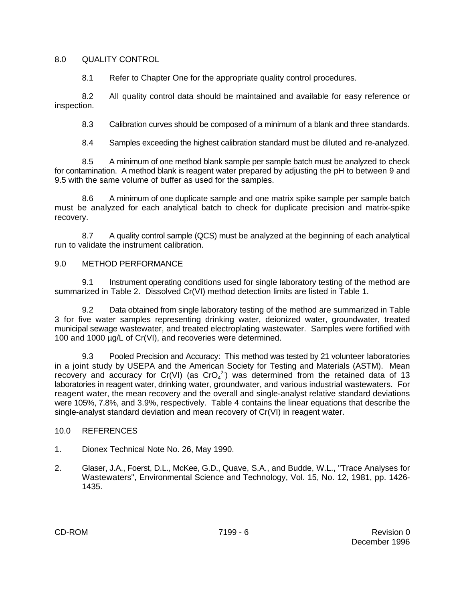#### 8.0 QUALITY CONTROL

8.1 Refer to Chapter One for the appropriate quality control procedures.

8.2 All quality control data should be maintained and available for easy reference or inspection.

8.3 Calibration curves should be composed of a minimum of a blank and three standards.

8.4 Samples exceeding the highest calibration standard must be diluted and re-analyzed.

8.5 A minimum of one method blank sample per sample batch must be analyzed to check for contamination. A method blank is reagent water prepared by adjusting the pH to between 9 and 9.5 with the same volume of buffer as used for the samples.

8.6 A minimum of one duplicate sample and one matrix spike sample per sample batch must be analyzed for each analytical batch to check for duplicate precision and matrix-spike recovery.

8.7 A quality control sample (QCS) must be analyzed at the beginning of each analytical run to validate the instrument calibration.

# 9.0 METHOD PERFORMANCE

9.1 Instrument operating conditions used for single laboratory testing of the method are summarized in Table 2. Dissolved Cr(VI) method detection limits are listed in Table 1.

9.2 Data obtained from single laboratory testing of the method are summarized in Table 3 for five water samples representing drinking water, deionized water, groundwater, treated municipal sewage wastewater, and treated electroplating wastewater. Samples were fortified with 100 and 1000 µg/L of Cr(VI), and recoveries were determined.

9.3 Pooled Precision and Accuracy: This method was tested by 21 volunteer laboratories in a joint study by USEPA and the American Society for Testing and Materials (ASTM). Mean recovery and accuracy for Cr(VI) (as CrO<sub>4</sub><sup>2</sup>) was determined from the retained data of 13 laboratories in reagent water, drinking water, groundwater, and various industrial wastewaters. For reagent water, the mean recovery and the overall and single-analyst relative standard deviations were 105%, 7.8%, and 3.9%, respectively. Table 4 contains the linear equations that describe the single-analyst standard deviation and mean recovery of Cr(VI) in reagent water.

# 10.0 REFERENCES

- 1. Dionex Technical Note No. 26, May 1990.
- 2. Glaser, J.A., Foerst, D.L., McKee, G.D., Quave, S.A., and Budde, W.L., "Trace Analyses for Wastewaters", Environmental Science and Technology, Vol. 15, No. 12, 1981, pp. 1426- 1435.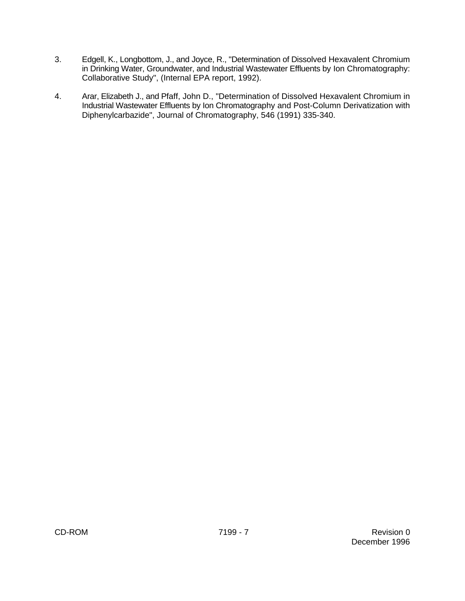- 3. Edgell, K., Longbottom, J., and Joyce, R., "Determination of Dissolved Hexavalent Chromium in Drinking Water, Groundwater, and Industrial Wastewater Effluents by Ion Chromatography: Collaborative Study", (Internal EPA report, 1992).
- 4. Arar, Elizabeth J., and Pfaff, John D., "Determination of Dissolved Hexavalent Chromium in Industrial Wastewater Effluents by Ion Chromatography and Post-Column Derivatization with Diphenylcarbazide", Journal of Chromatography, 546 (1991) 335-340.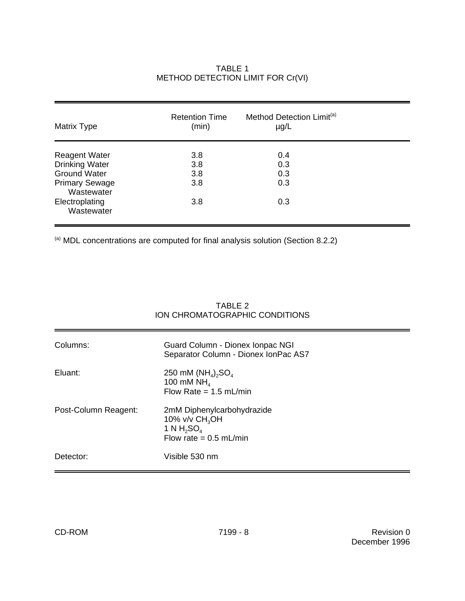| Matrix Type                                                                                                                                 | <b>Retention Time</b><br>(min)  | Method Detection Limit <sup>(a)</sup><br>$\mu$ g/L |  |
|---------------------------------------------------------------------------------------------------------------------------------------------|---------------------------------|----------------------------------------------------|--|
| <b>Reagent Water</b><br><b>Drinking Water</b><br><b>Ground Water</b><br><b>Primary Sewage</b><br>Wastewater<br>Electroplating<br>Wastewater | 3.8<br>3.8<br>3.8<br>3.8<br>3.8 | 0.4<br>0.3<br>0.3<br>0.3<br>0.3                    |  |

# TABLE 1 METHOD DETECTION LIMIT FOR Cr(VI)

 $\overset{\text{\tiny{(a)}}}{ }$  MDL concentrations are computed for final analysis solution (Section 8.2.2)

|                      | ION CHROMATOGRAPHIC CONDITIONS                                                             |
|----------------------|--------------------------------------------------------------------------------------------|
| Columns:             | Guard Column - Dionex Ionpac NGI<br>Separator Column - Dionex IonPac AS7                   |
| Eluant:              | 250 mM $(NH_4)$ <sub>2</sub> SO <sub>4</sub><br>100 mM $NH4$<br>Flow Rate = $1.5$ mL/min   |
| Post-Column Reagent: | 2mM Diphenylcarbohydrazide<br>10% v/v $CH3OH$<br>1 N $H_2SO_4$<br>Flow rate = $0.5$ mL/min |
| Detector:            | Visible 530 nm                                                                             |

# TABLE 2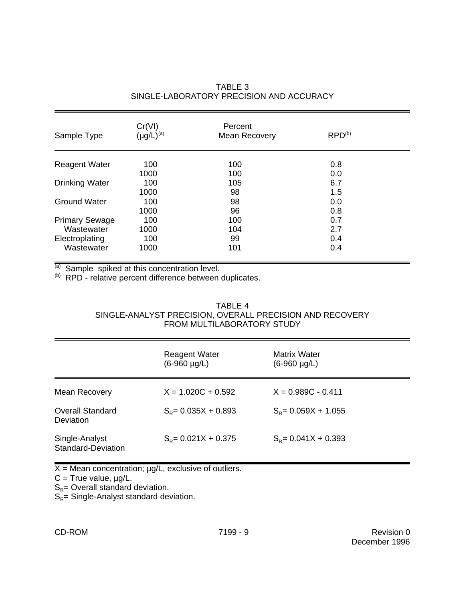| Sample Type           | Cr(VI)<br>$(\mu g/L)^{(a)}$ | Percent<br><b>Mean Recovery</b> | RPD <sup>(b)</sup> |  |
|-----------------------|-----------------------------|---------------------------------|--------------------|--|
| <b>Reagent Water</b>  | 100                         | 100                             | 0.8                |  |
|                       | 1000                        | 100                             | 0.0                |  |
| <b>Drinking Water</b> | 100                         | 105                             | 6.7                |  |
|                       | 1000                        | 98                              | 1.5                |  |
| <b>Ground Water</b>   | 100                         | 98                              | 0.0                |  |
|                       | 1000                        | 96                              | 0.8                |  |
| <b>Primary Sewage</b> | 100                         | 100                             | 0.7                |  |
| Wastewater            | 1000                        | 104                             | 2.7                |  |
| Electroplating        | 100                         | 99                              | 0.4                |  |
| Wastewater            | 1000                        | 101                             | 0.4                |  |

# TABLE 3 SINGLE-LABORATORY PRECISION AND ACCURACY

 $\overline{a}$ ) Sample spiked at this concentration level.

(b) RPD - relative percent difference between duplicates.

# TABLE 4 SINGLE-ANALYST PRECISION, OVERALL PRECISION AND RECOVERY FROM MULTILABORATORY STUDY

|                                      | <b>Reagent Water</b><br>$(6-960 \mu g/L)$ | Matrix Water<br>$(6-960 \mu g/L)$ |
|--------------------------------------|-------------------------------------------|-----------------------------------|
| Mean Recovery                        | $X = 1.020C + 0.592$                      | $X = 0.989C - 0.411$              |
| <b>Overall Standard</b><br>Deviation | $S_p = 0.035X + 0.893$                    | $S_p = 0.059X + 1.055$            |
| Single-Analyst<br>Standard-Deviation | $S_{\rm R}$ = 0.021X + 0.375              | $S_p = 0.041X + 0.393$            |

 $X =$  Mean concentration;  $\mu g/L$ , exclusive of outliers.

 $C = True$  value,  $\mu g/L$ .

 $S_R$  = Overall standard deviation.

 $S_R$  = Single-Analyst standard deviation.